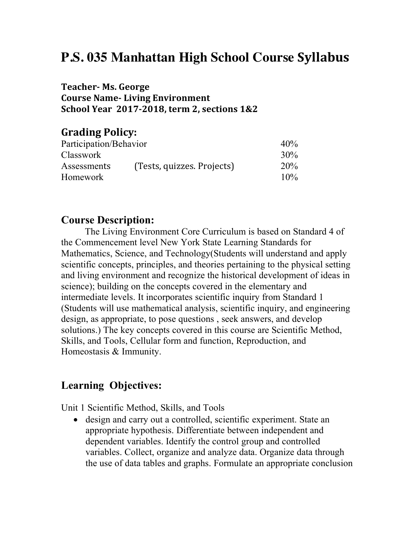# **P.S. 035 Manhattan High School Course Syllabus**

#### **Teacher- Ms. George Course Name-Living Environment School Year 2017-2018, term 2, sections 1&2**

### **Grading Policy:**

| Participation/Behavior |                            | 40% |
|------------------------|----------------------------|-----|
| <b>Classwork</b>       |                            | 30% |
| Assessments            | (Tests, quizzes. Projects) | 20% |
| <b>Homework</b>        |                            | 10% |

#### **Course Description:**

The Living Environment Core Curriculum is based on Standard 4 of the Commencement level New York State Learning Standards for Mathematics, Science, and Technology(Students will understand and apply scientific concepts, principles, and theories pertaining to the physical setting and living environment and recognize the historical development of ideas in science); building on the concepts covered in the elementary and intermediate levels. It incorporates scientific inquiry from Standard 1 (Students will use mathematical analysis, scientific inquiry, and engineering design, as appropriate, to pose questions , seek answers, and develop solutions.) The key concepts covered in this course are Scientific Method, Skills, and Tools, Cellular form and function, Reproduction, and Homeostasis & Immunity.

## **Learning Objectives:**

Unit 1 Scientific Method, Skills, and Tools

• design and carry out a controlled, scientific experiment. State an appropriate hypothesis. Differentiate between independent and dependent variables. Identify the control group and controlled variables. Collect, organize and analyze data. Organize data through the use of data tables and graphs. Formulate an appropriate conclusion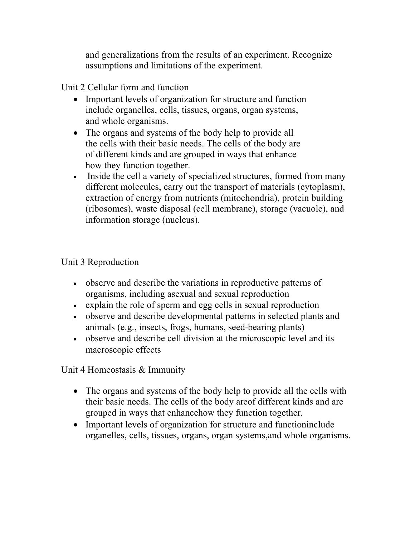and generalizations from the results of an experiment. Recognize assumptions and limitations of the experiment.

Unit 2 Cellular form and function

- Important levels of organization for structure and function include organelles, cells, tissues, organs, organ systems, and whole organisms.
- The organs and systems of the body help to provide all the cells with their basic needs. The cells of the body are of different kinds and are grouped in ways that enhance how they function together.
- Inside the cell a variety of specialized structures, formed from many different molecules, carry out the transport of materials (cytoplasm), extraction of energy from nutrients (mitochondria), protein building (ribosomes), waste disposal (cell membrane), storage (vacuole), and information storage (nucleus).

## Unit 3 Reproduction

- observe and describe the variations in reproductive patterns of organisms, including asexual and sexual reproduction
- explain the role of sperm and egg cells in sexual reproduction
- observe and describe developmental patterns in selected plants and animals (e.g., insects, frogs, humans, seed-bearing plants)
- observe and describe cell division at the microscopic level and its macroscopic effects

Unit 4 Homeostasis & Immunity

- The organs and systems of the body help to provide all the cells with their basic needs. The cells of the body areof different kinds and are grouped in ways that enhancehow they function together.
- Important levels of organization for structure and functioninclude organelles, cells, tissues, organs, organ systems,and whole organisms.